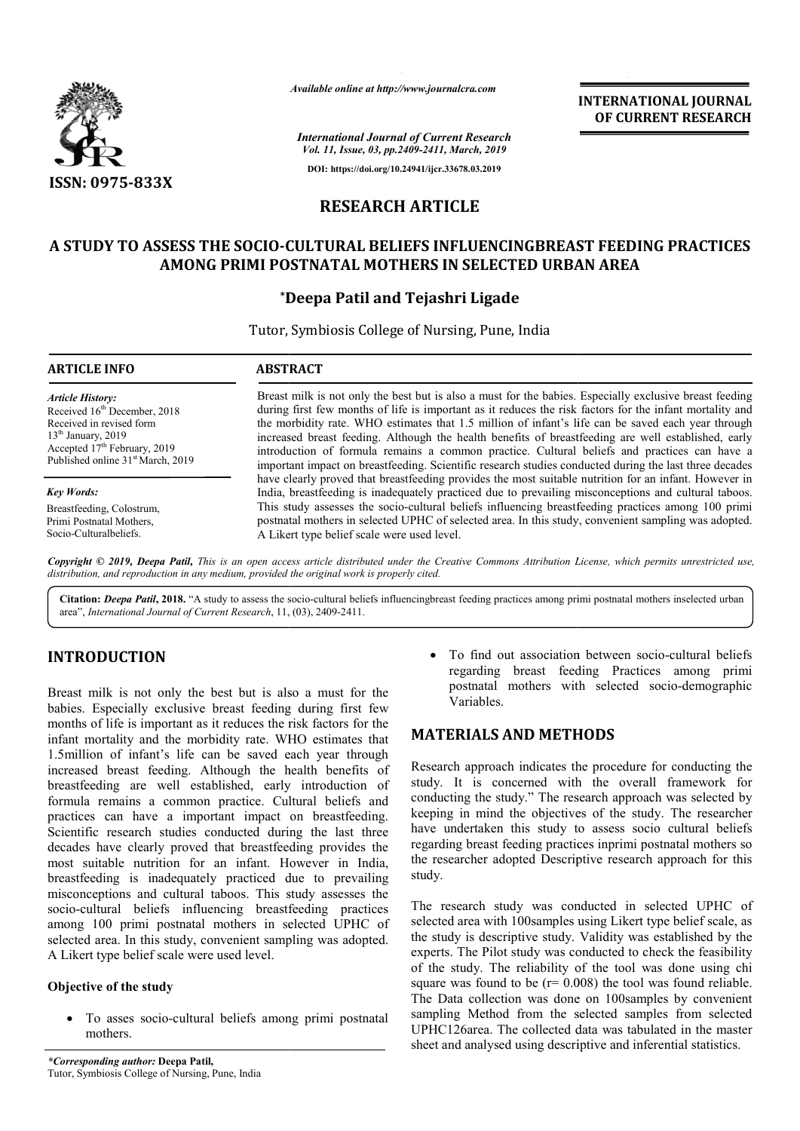

*Available online at http://www.journalcra.com*

*International Journal of Current Research Vol. 11, Issue, 03, pp.2409-2411, March, 2019* **DOI: https://doi.org/10.24941/ijcr.33678.03.2019**

**INTERNATIONAL JOURNAL OF CURRENT RESEARCH**

# **RESEARCH ARTICLE**

### **A STUDY TO ASSESS THE SOCIO-CULTURAL BELIEFS INFLUENCINGBREAST FEEDING PRACTICES CULTURAL BELIEFS AMONG PRIMI POSTNATAL MOTHERS IN SELECTED URBAN AREA**

## **\*Deepa Patil Deepa and Tejashri Ligade**

Tutor, , Symbiosis College of Nursing, Pune, India

| <b>ARTICLE INFO</b>                           | <b>ABSTRACT</b>                                                                                                                                                                                               |
|-----------------------------------------------|---------------------------------------------------------------------------------------------------------------------------------------------------------------------------------------------------------------|
| <b>Article History:</b>                       | Breast milk is not only the best but is also a must for the babies. Especially exclusive breast feeding                                                                                                       |
| Received 16 <sup>th</sup> December, 2018      | during first few months of life is important as it reduces the risk factors for the infant mortality and                                                                                                      |
| Received in revised form                      | the morbidity rate. WHO estimates that 1.5 million of infant's life can be saved each year through                                                                                                            |
| $13th$ January, 2019                          | increased breast feeding. Although the health benefits of breastfeeding are well established, early                                                                                                           |
| Accepted $17th$ February, 2019                | introduction of formula remains a common practice. Cultural beliefs and practices can have a                                                                                                                  |
| Published online 31 <sup>st</sup> March, 2019 | important impact on breastfeeding. Scientific research studies conducted during the last three decades                                                                                                        |
| <b>Key Words:</b>                             | have clearly proved that breastfeeding provides the most suitable nutrition for an infant. However in<br>India, breastfeeding is inadequately practiced due to prevailing misconceptions and cultural taboos. |
| Breastfeeding, Colostrum,                     | This study assesses the socio-cultural beliefs influencing breastfeeding practices among 100 primi                                                                                                            |
| Primi Postnatal Mothers,                      | postnatal mothers in selected UPHC of selected area. In this study, convenient sampling was adopted.                                                                                                          |

Primi Postnatal Mothers, Socio-Culturalbeliefs.

A Likert type bel belief scale were used level. Copyright © 2019, Deepa Patil, This is an open access article distributed under the Creative Commons Attribution License, which permits unrestricted use, *distribution, and reproduction in any medium, provided the original work is properly cited.*

Citation: *Deepa Patil*, 2018. "A study to assess the socio-cultural beliefs influencingbreast feeding practices among primi postnatal mothers inselected urban area", *International Journal of Current Research*, 11, (03), 2409-2411.

### **INTRODUCTION**

Breast milk is not only the best but is also a must for the babies. Especially exclusive breast feeding during first few months of life is important as it reduces the risk factors for the infant mortality and the morbidity rate. WHO estimates that 1.5million of infant's life can be saved each year through increased breast feeding. Although the health benefits of breastfeeding are well established, early introduction of formula remains a common practice. Cultural beliefs and practices can have a important impact on breastfeeding. Scientific research studies conducted during the last three decades have clearly proved that breastfeeding provides the most suitable nutrition for an infant. However in India, breastfeeding is inadequately practiced due to prevailing misconceptions and cultural taboos. This study assesses the socio-cultural beliefs influencing breastfeeding practices among 100 primi postnatal mothers in selected UPHC of selected area. In this study, convenient sampling was adopted. A Likert type belief scale were used level. mon practice. Cultural beliefs and<br>mportant impact on breastfeeding.<br>es conducted during the last three<br>wed that breastfeeding provides the<br>for an infant. However in India, **CTION**<br> **CTION**<br> **CTION**<br> **CTION**<br> **CONTERTY ASSOC THE CONSTRATE CHOM THEODES**<br> **CONTERTY ASSOC TO THEOTE CONSTRATE CONTERTY CONTERTY ASSOC TO THE DETENDIES**<br> **CONTERTY ASSOC TO THEOTE CONTERTY ASSOCIATE CONTERTY ASSOCIAT** 

### **Objective of the study**

 To asses socio-cultural beliefs among primi postnatal mothers.

regarding breast feeding Practices among primi postnatal mothers with selected socio-demographic Variables. • To find out association between socio-cultural beliefs

### **MATERIALS AND METHODS METHODS**

Research approach indicates the procedure for conducting the study. It is concerned with the overall framework for study. It is concerned with the overall framework for conducting the study." The research approach was selected by keeping in mind the objectives of the study. The researcher have undertaken this study to assess socio cultural beliefs regarding breast feeding practices inprimi postnatal mothers so the researcher adopted Descriptive research approach for this study. undertaken this study to assess socio cultural beliefs<br>ing breast feeding practices inprimi postnatal mothers so<br>searcher adopted Descriptive research approach for this

The research study was conducted in selected UPHC of selected area with 100samples using Likert type belief scale, as selected area with 100 samples using Likert type belief scale, as the study is descriptive study. Validity was established by the experts. The Pilot study was conducted to check the feasibility of the study. The reliability of the tool was done using chi square was found to be  $(r= 0.008)$  the tool was found reliable. The Data collection was done on 100samples by convenient sampling Method from the selected samples from selected UPHC126area. The collected data was tabulated in the master of the study. The reliability of the tool was done using c square was found to be  $(r= 0.008)$  the tool was found reliab. The Data collection was done on 100samples by convenies ampling Method from the selected samples fro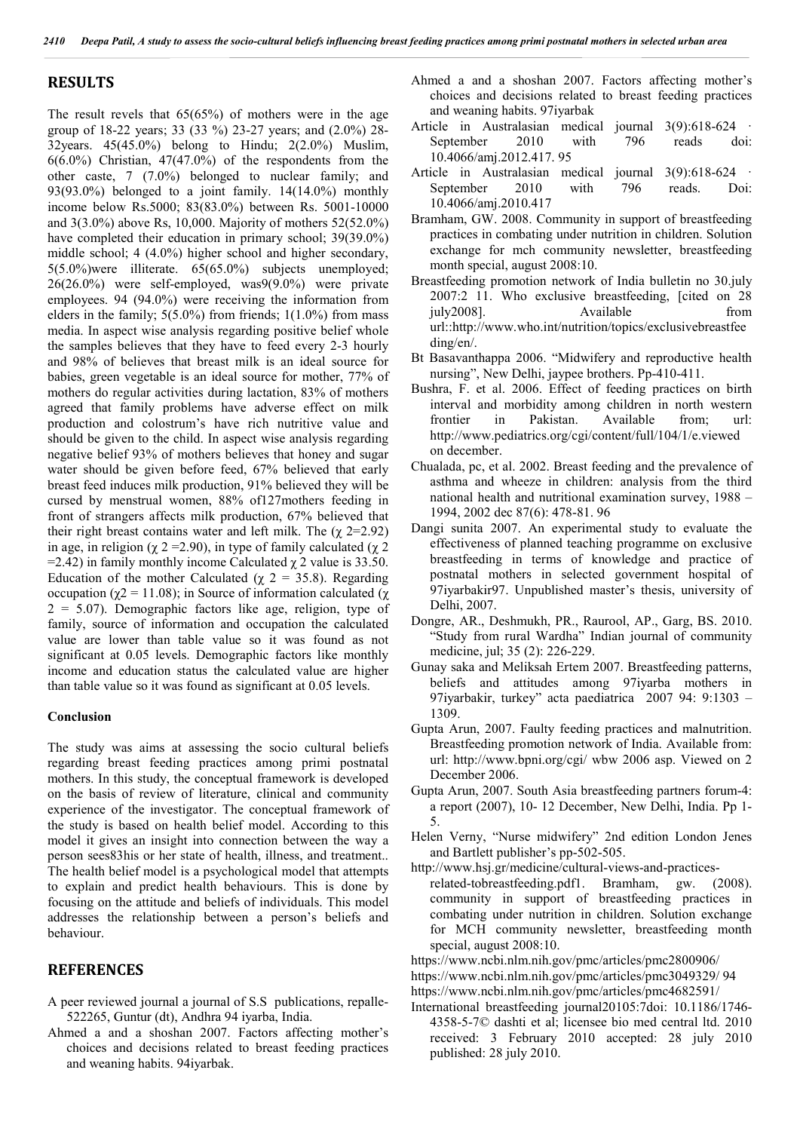#### **RESULTS**

The result revels that  $65(65%)$  of mothers were in the age group of 18-22 years; 33 (33 %) 23-27 years; and (2.0%) 28- 32years. 45(45.0%) belong to Hindu; 2(2.0%) Muslim,  $6(6.0\%)$  Christian,  $47(47.0\%)$  of the respondents from the other caste, 7 (7.0%) belonged to nuclear family; and 93(93.0%) belonged to a joint family. 14(14.0%) monthly income below Rs.5000; 83(83.0%) between Rs. 5001-10000 and 3(3.0%) above Rs, 10,000. Majority of mothers 52(52.0%) have completed their education in primary school; 39(39.0%) middle school; 4 (4.0%) higher school and higher secondary, 5(5.0%)were illiterate. 65(65.0%) subjects unemployed; 26(26.0%) were self-employed, was9(9.0%) were private employees. 94 (94.0%) were receiving the information from elders in the family;  $5(5.0\%)$  from friends;  $1(1.0\%)$  from mass media. In aspect wise analysis regarding positive belief whole the samples believes that they have to feed every 2-3 hourly and 98% of believes that breast milk is an ideal source for babies, green vegetable is an ideal source for mother, 77% of mothers do regular activities during lactation, 83% of mothers agreed that family problems have adverse effect on milk production and colostrum's have rich nutritive value and should be given to the child. In aspect wise analysis regarding negative belief 93% of mothers believes that honey and sugar water should be given before feed, 67% believed that early breast feed induces milk production, 91% believed they will be cursed by menstrual women, 88% of127mothers feeding in front of strangers affects milk production, 67% believed that their right breast contains water and left milk. The  $(\gamma 2=2.92)$ in age, in religion ( $\chi$  2 = 2.90), in type of family calculated ( $\chi$  2 =2.42) in family monthly income Calculated  $\chi$  2 value is 33.50. Education of the mother Calculated ( $\chi$  2 = 35.8). Regarding occupation ( $\chi$ 2 = 11.08); in Source of information calculated (χ  $2 = 5.07$ ). Demographic factors like age, religion, type of family, source of information and occupation the calculated value are lower than table value so it was found as not significant at 0.05 levels. Demographic factors like monthly income and education status the calculated value are higher than table value so it was found as significant at 0.05 levels.

#### **Conclusion**

The study was aims at assessing the socio cultural beliefs regarding breast feeding practices among primi postnatal mothers. In this study, the conceptual framework is developed on the basis of review of literature, clinical and community experience of the investigator. The conceptual framework of the study is based on health belief model. According to this model it gives an insight into connection between the way a person sees83his or her state of health, illness, and treatment.. The health belief model is a psychological model that attempts to explain and predict health behaviours. This is done by focusing on the attitude and beliefs of individuals. This model addresses the relationship between a person's beliefs and behaviour.

#### **REFERENCES**

- A peer reviewed journal a journal of S.S publications, repalle-522265, Guntur (dt), Andhra 94 iyarba, India.
- Ahmed a and a shoshan 2007. Factors affecting mother's choices and decisions related to breast feeding practices and weaning habits. 94iyarbak.
- Ahmed a and a shoshan 2007. Factors affecting mother's choices and decisions related to breast feeding practices and weaning habits. 97iyarbak
- Article in Australasian medical journal 3(9):618-624 September 2010 with 796 reads doi: 10.4066/amj.2012.417. 95
- Article in Australasian medical journal 3(9):618-624 September 2010 with 796 reads. Doi: 10.4066/amj.2010.417
- Bramham, GW. 2008. Community in support of breastfeeding practices in combating under nutrition in children. Solution exchange for mch community newsletter, breastfeeding month special, august 2008:10.
- Breastfeeding promotion network of India bulletin no 30.july 2007:2 11. Who exclusive breastfeeding, [cited on 28 july2008]. Available from url::http://www.who.int/nutrition/topics/exclusivebreastfee ding/en/.
- Bt Basavanthappa 2006. "Midwifery and reproductive health nursing", New Delhi, jaypee brothers. Pp-410-411.
- Bushra, F. et al. 2006. Effect of feeding practices on birth interval and morbidity among children in north western frontier in Pakistan. Available from; url: http://www.pediatrics.org/cgi/content/full/104/1/e.viewed on december.
- Chualada, pc, et al. 2002. Breast feeding and the prevalence of asthma and wheeze in children: analysis from the third national health and nutritional examination survey, 1988 – 1994, 2002 dec 87(6): 478-81. 96
- Dangi sunita 2007. An experimental study to evaluate the effectiveness of planned teaching programme on exclusive breastfeeding in terms of knowledge and practice of postnatal mothers in selected government hospital of 97iyarbakir97. Unpublished master's thesis, university of Delhi, 2007.
- Dongre, AR., Deshmukh, PR., Raurool, AP., Garg, BS. 2010. "Study from rural Wardha" Indian journal of community medicine, jul; 35 (2): 226-229.
- Gunay saka and Meliksah Ertem 2007. Breastfeeding patterns, beliefs and attitudes among 97iyarba mothers in 97iyarbakir, turkey" acta paediatrica 2007 94: 9:1303 – 1309.
- Gupta Arun, 2007. Faulty feeding practices and malnutrition. Breastfeeding promotion network of India. Available from: url: http://www.bpni.org/cgi/ wbw 2006 asp. Viewed on 2 December 2006.
- Gupta Arun, 2007. South Asia breastfeeding partners forum-4: a report (2007), 10- 12 December, New Delhi, India. Pp 1- 5.
- Helen Verny, "Nurse midwifery" 2nd edition London Jenes and Bartlett publisher's pp-502-505.
- http://www.hsj.gr/medicine/cultural-views-and-practicesrelated-tobreastfeeding.pdf1. Bramham, gw. (2008). community in support of breastfeeding practices in combating under nutrition in children. Solution exchange for MCH community newsletter, breastfeeding month special, august 2008:10.
- https://www.ncbi.nlm.nih.gov/pmc/articles/pmc2800906/
- https://www.ncbi.nlm.nih.gov/pmc/articles/pmc3049329/ 94
- https://www.ncbi.nlm.nih.gov/pmc/articles/pmc4682591/
- International breastfeeding journal20105:7doi: 10.1186/1746- 4358-5-7© dashti et al; licensee bio med central ltd. 2010 received: 3 February 2010 accepted: 28 july 2010 published: 28 july 2010.